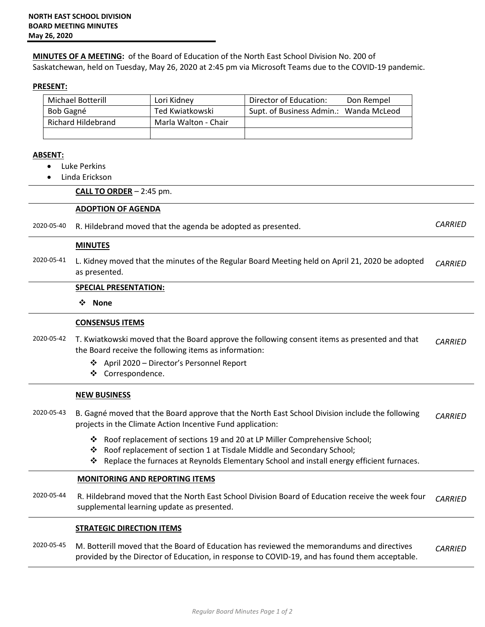**MINUTES OF A MEETING:** of the Board of Education of the North East School Division No. 200 of Saskatchewan, held on Tuesday, May 26, 2020 at 2:45 pm via Microsoft Teams due to the COVID-19 pandemic.

# **PRESENT:**

| <b>Michael Botterill</b> | Lori Kidney          | Director of Education:                 | Don Rempel |
|--------------------------|----------------------|----------------------------------------|------------|
| Bob Gagné                | Ted Kwiatkowski      | Supt. of Business Admin.: Wanda McLeod |            |
| Richard Hildebrand       | Marla Walton - Chair |                                        |            |
|                          |                      |                                        |            |

## **ABSENT:**

- Luke Perkins
- Linda Erickson

### **CALL TO ORDER** – 2:45 pm.

### **ADOPTION OF AGENDA**

2020-05-40 R. Hildebrand moved that the agenda be adopted as presented. *CARRIED*

### **MINUTES**

2020-05-41 L. Kidney moved that the minutes of the Regular Board Meeting held on April 21, 2020 be adopted as presented. *CARRIED* 

#### **SPECIAL PRESENTATION:**

**None**

## **CONSENSUS ITEMS**

- 2020-05-42 T. Kwiatkowski moved that the Board approve the following consent items as presented and that the Board receive the following items as information: *CARRIED* 
	- April 2020 Director's Personnel Report
	- ❖ Correspondence.

#### **NEW BUSINESS**

- 2020-05-43 B. Gagné moved that the Board approve that the North East School Division include the following projects in the Climate Action Incentive Fund application: *CARRIED*
	- Roof replacement of sections 19 and 20 at LP Miller Comprehensive School;
	- Roof replacement of section 1 at Tisdale Middle and Secondary School;
	- Replace the furnaces at Reynolds Elementary School and install energy efficient furnaces.

## **MONITORING AND REPORTING ITEMS**

2020-05-44 R. Hildebrand moved that the North East School Division Board of Education receive the week four supplemental learning update as presented. *CARRIED*

## **STRATEGIC DIRECTION ITEMS**

2020-05-45 M. Botterill moved that the Board of Education has reviewed the memorandums and directives provided by the Director of Education, in response to COVID-19, and has found them acceptable. *CARRIED*